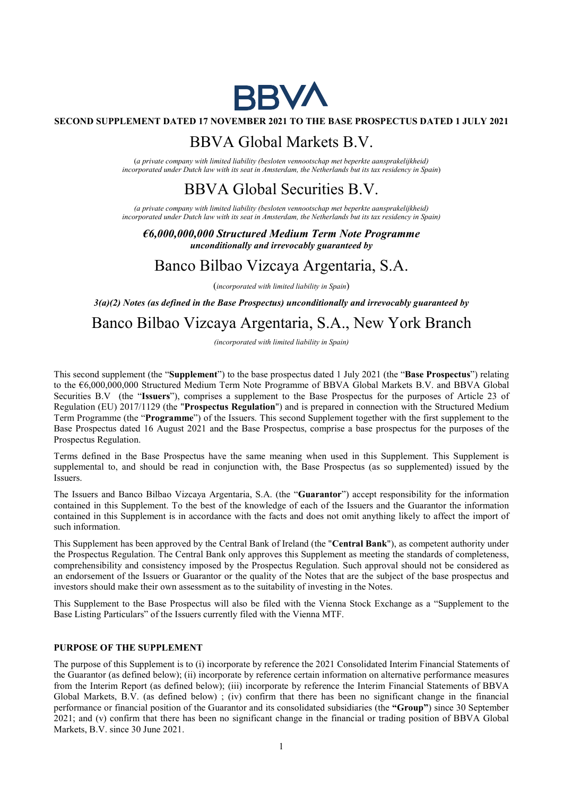

### SECOND SUPPLEMENT DATED 17 NOVEMBER 2021 TO THE BASE PROSPECTUS DATED 1 JULY 2021

## BBVA Global Markets B.V.

(a private company with limited liability (besloten vennootschap met beperkte aansprakelijkheid) incorporated under Dutch law with its seat in Amsterdam, the Netherlands but its tax residency in Spain)

# BBVA Global Securities B.V.

(a private company with limited liability (besloten vennootschap met beperkte aansprakelijkheid) incorporated under Dutch law with its seat in Amsterdam, the Netherlands but its tax residency in Spain)

€6,000,000,000 Structured Medium Term Note Programme unconditionally and irrevocably guaranteed by

## Banco Bilbao Vizcaya Argentaria, S.A.

(incorporated with limited liability in Spain)

 $3(a)(2)$  Notes (as defined in the Base Prospectus) unconditionally and irrevocably guaranteed by

# Banco Bilbao Vizcaya Argentaria, S.A., New York Branch

(incorporated with limited liability in Spain)

This second supplement (the "Supplement") to the base prospectus dated 1 July 2021 (the "Base Prospectus") relating to the €6,000,000,000 Structured Medium Term Note Programme of BBVA Global Markets B.V. and BBVA Global Securities B.V (the "Issuers"), comprises a supplement to the Base Prospectus for the purposes of Article 23 of Regulation (EU) 2017/1129 (the "Prospectus Regulation") and is prepared in connection with the Structured Medium Term Programme (the "Programme") of the Issuers. This second Supplement together with the first supplement to the Base Prospectus dated 16 August 2021 and the Base Prospectus, comprise a base prospectus for the purposes of the Prospectus Regulation.

Terms defined in the Base Prospectus have the same meaning when used in this Supplement. This Supplement is supplemental to, and should be read in conjunction with, the Base Prospectus (as so supplemented) issued by the Issuers.

The Issuers and Banco Bilbao Vizcaya Argentaria, S.A. (the "Guarantor") accept responsibility for the information contained in this Supplement. To the best of the knowledge of each of the Issuers and the Guarantor the information contained in this Supplement is in accordance with the facts and does not omit anything likely to affect the import of such information.

This Supplement has been approved by the Central Bank of Ireland (the "Central Bank"), as competent authority under the Prospectus Regulation. The Central Bank only approves this Supplement as meeting the standards of completeness, comprehensibility and consistency imposed by the Prospectus Regulation. Such approval should not be considered as an endorsement of the Issuers or Guarantor or the quality of the Notes that are the subject of the base prospectus and investors should make their own assessment as to the suitability of investing in the Notes.

This Supplement to the Base Prospectus will also be filed with the Vienna Stock Exchange as a "Supplement to the Base Listing Particulars" of the Issuers currently filed with the Vienna MTF.

## PURPOSE OF THE SUPPLEMENT

The purpose of this Supplement is to (i) incorporate by reference the 2021 Consolidated Interim Financial Statements of the Guarantor (as defined below); (ii) incorporate by reference certain information on alternative performance measures from the Interim Report (as defined below); (iii) incorporate by reference the Interim Financial Statements of BBVA Global Markets, B.V. (as defined below) ; (iv) confirm that there has been no significant change in the financial performance or financial position of the Guarantor and its consolidated subsidiaries (the "Group") since 30 September 2021; and (v) confirm that there has been no significant change in the financial or trading position of BBVA Global Markets, B.V. since 30 June 2021.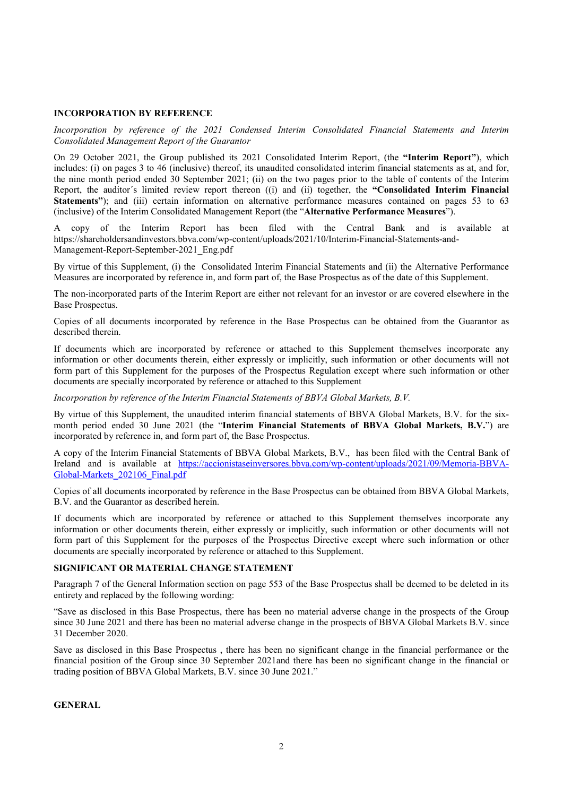### INCORPORATION BY REFERENCE

Incorporation by reference of the 2021 Condensed Interim Consolidated Financial Statements and Interim Consolidated Management Report of the Guarantor

On 29 October 2021, the Group published its 2021 Consolidated Interim Report, (the "Interim Report"), which includes: (i) on pages 3 to 46 (inclusive) thereof, its unaudited consolidated interim financial statements as at, and for, the nine month period ended 30 September 2021; (ii) on the two pages prior to the table of contents of the Interim Report, the auditor´s limited review report thereon ((i) and (ii) together, the "Consolidated Interim Financial Statements"); and (iii) certain information on alternative performance measures contained on pages 53 to 63 (inclusive) of the Interim Consolidated Management Report (the "Alternative Performance Measures").

A copy of the Interim Report has been filed with the Central Bank and is available at https://shareholdersandinvestors.bbva.com/wp-content/uploads/2021/10/Interim-Financial-Statements-and-Management-Report-September-2021\_Eng.pdf

By virtue of this Supplement, (i) the Consolidated Interim Financial Statements and (ii) the Alternative Performance Measures are incorporated by reference in, and form part of, the Base Prospectus as of the date of this Supplement.

The non-incorporated parts of the Interim Report are either not relevant for an investor or are covered elsewhere in the Base Prospectus.

Copies of all documents incorporated by reference in the Base Prospectus can be obtained from the Guarantor as described therein.

If documents which are incorporated by reference or attached to this Supplement themselves incorporate any information or other documents therein, either expressly or implicitly, such information or other documents will not form part of this Supplement for the purposes of the Prospectus Regulation except where such information or other documents are specially incorporated by reference or attached to this Supplement

Incorporation by reference of the Interim Financial Statements of BBVA Global Markets, B.V.

By virtue of this Supplement, the unaudited interim financial statements of BBVA Global Markets, B.V. for the sixmonth period ended 30 June 2021 (the "Interim Financial Statements of BBVA Global Markets, B.V.") are incorporated by reference in, and form part of, the Base Prospectus.

A copy of the Interim Financial Statements of BBVA Global Markets, B.V., has been filed with the Central Bank of Ireland and is available at https://accionistaseinversores.bbva.com/wp-content/uploads/2021/09/Memoria-BBVA-Global-Markets 202106 Final.pdf

Copies of all documents incorporated by reference in the Base Prospectus can be obtained from BBVA Global Markets, B.V. and the Guarantor as described herein.

If documents which are incorporated by reference or attached to this Supplement themselves incorporate any information or other documents therein, either expressly or implicitly, such information or other documents will not form part of this Supplement for the purposes of the Prospectus Directive except where such information or other documents are specially incorporated by reference or attached to this Supplement.

### SIGNIFICANT OR MATERIAL CHANGE STATEMENT

Paragraph 7 of the General Information section on page 553 of the Base Prospectus shall be deemed to be deleted in its entirety and replaced by the following wording:

"Save as disclosed in this Base Prospectus, there has been no material adverse change in the prospects of the Group since 30 June 2021 and there has been no material adverse change in the prospects of BBVA Global Markets B.V. since 31 December 2020.

Save as disclosed in this Base Prospectus , there has been no significant change in the financial performance or the financial position of the Group since 30 September 2021and there has been no significant change in the financial or trading position of BBVA Global Markets, B.V. since 30 June 2021."

**GENERAL**